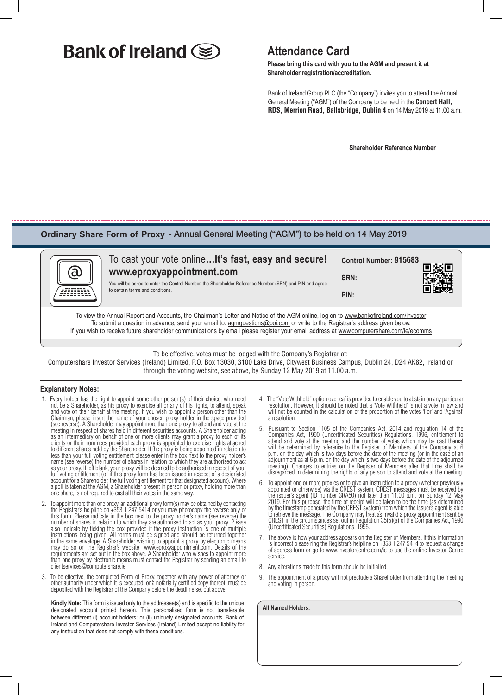# **Bank of Ireland (S)** Attendance Card

 **Please bring this card with you to the AGM and present it at Shareholder registration/accreditation.**

Bank of Ireland Group PLC (the "Company") invites you to attend the Annual General Meeting ("AGM") of the Company to be held in the **Concert Hall, RDS, Merrion Road, Ballsbridge, Dublin 4** on 14 May 2019 at 11.00 a.m.

 **Shareholder Reference Number**

### **Ordinary Share Form of Proxy** - Annual General Meeting ("AGM") to be held on 14 May 2019



#### To cast your vote online**…It's fast, easy and secure! Control Number: 915683**п **www.eproxyappointment.com SRN:** You will be asked to enter the Control Number, the Shareholder Reference Number (SRN) and PIN and agree to certain terms and conditions. **PIN:**

To view the Annual Report and Accounts, the Chairman's Letter and Notice of the AGM online, log on to www.bankofireland.com/investor To submit a question in advance, send your email to: agmquestions@boi.com or write to the Registrar's address given below. If you wish to receive future shareholder communications by email please register your email address at www.computershare.com/ie/ecomms

To be effective, votes must be lodged with the Company's Registrar at:

Computershare Investor Services (Ireland) Limited, P.O. Box 13030, 3100 Lake Drive, Citywest Business Campus, Dublin 24, D24 AK82, Ireland or through the voting website, see above, by Sunday 12 May 2019 at 11.00 a.m.

#### **Explanatory Notes:**

- 1. Every holder has the right to appoint some other person(s) of their choice, who need not be a Shareholder, as his proxy to exercise all or any of his rights, to attend, speak and vote on their behalf at the meeting. If you wish to appoint a person other than the Chairman, please insert the name of your chosen proxy holder in the space provided (see reverse). A Shareholder may appoint more than one proxy to attend and vote at the meeting in respect of shares held in different securities accounts. A Shareholder acting as an intermediary on behalf of one or more clients may grant a proxy to each of its clients or their nominees provided each proxy is appointed to exercise rights attached to different shares held by the Shareholder. If the proxy is being appointed in relation to less than your full voting entitlement please enter in the box next to the proxy holder's name (see reverse) the number of shares in relation to which they are authorised to act as your proxy. If left blank, your proxy will be deemed to be authorised in respect of your full voting entitlement (or if this proxy form has been issued in respect of a designated account for a Shareholder, the full voting entitlement for that designated account). Where a poll is taken at the AGM, a Shareholder present in person or proxy, holding more than one share, is not required to cast all their votes in the same way.
- 2. To appoint more than one proxy, an additional proxy form(s) may be obtained by contacting the Registrar's helpline on +353 1 247 5414 or you may photocopy the reverse only of this form. Please indicate in the box next to the proxy holder's name (see reverse) the number of shares in relation to which they are authorised to act as your proxy. Please also indicate by ticking the box provided if the proxy instruction is one of multiple instructions being given. All forms must be signed and should be returned together in the same envelope. A Shareholder wishing to appoint a proxy by electronic means may do so on the Registrar's website www.eproxyappointment.com. Details of the requirements are set out in the box above. A Shareholder who wishes to appoint more than one proxy by electronic means must contact the Registrar by sending an email to clientservices@computershare.ie
- 3. To be effective, the completed Form of Proxy, together with any power of attorney or other authority under which it is executed, or a notarially certified copy thereof, must be deposited with the Registrar of the Company before the deadline set out above.

**Kindly Note:** This form is issued only to the addressee(s) and is specific to the unique designated account printed hereon. This personalised form is not transferable between different (i) account holders; or (ii) uniquely designated accounts. Bank of Ireland and Computershare Investor Services (Ireland) Limited accept no liability for any instruction that does not comply with these conditions.

- 4. The "Vote Withheld" option overleaf is provided to enable you to abstain on any particular resolution. However, it should be noted that a 'Vote Withheld' is not a vote in law and will not be counted in the calculation of the proportion of the votes 'For' and 'Against' a resolution.
- 5. Pursuant to Section 1105 of the Companies Act, 2014 and regulation 14 of the Companies Act, 1990 (Uncertificated Securities) Regulations, 1996, entitlement to attend and vote at the meeting and the number of votes which may be cast thereat will be determined by reference to the Register of Members of the Company at 6 p.m. on the day which is two days before the date of the meeting (or in the case of an adjournment as at 6 p.m. on the day which is two days before the date of the adjourned meeting). Changes to entries on the Register of Members after that time shall be disregarded in determining the rights of any person to attend and vote at the meeting.
- 6. To appoint one or more proxies or to give an instruction to a proxy (whether previously appointed or otherwise) via the CREST system, CREST messages must be received by the issuer's agent (ID number 3RA50) not later tha 2019. For this purpose, the time of receipt will be taken to be the time (as determined by the timestamp generated by the CREST system) from which the issuer's agent is able to retrieve the message. The Company may treat as invalid a proxy appointment sent by CREST in the circumstances set out in Regulation 35(5)(a) of the Companies Act, 1990 (Uncertificated Securities) Regulations, 1996.
- The above is how your address appears on the Register of Members. If this information is incorrect please ring the Registrar's helpline on +353 1 247 5414 to request a change of address form or go to www.investorcentre.com/ie to use the online Investor Centre service.
- 8. Any alterations made to this form should be initialled.
- 9. The appointment of a proxy will not preclude a Shareholder from attending the meeting and voting in person.

| All Named Holders: |  |  |
|--------------------|--|--|
|                    |  |  |
|                    |  |  |
|                    |  |  |